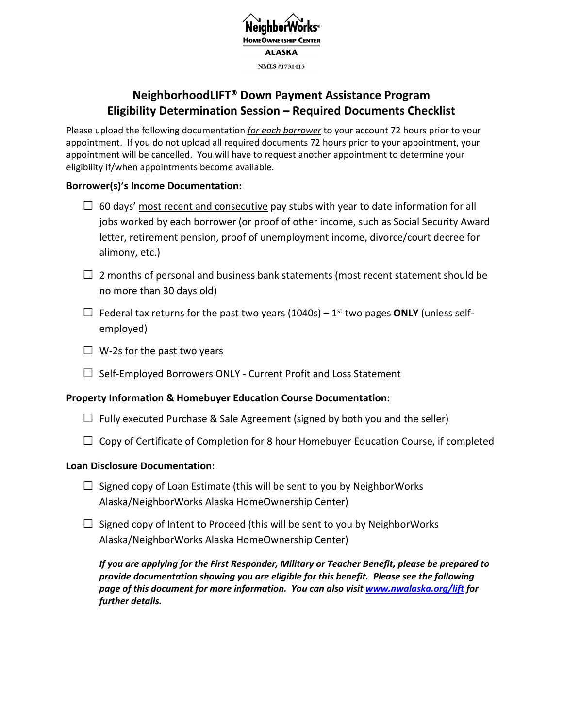

# **NeighborhoodLIFT® Down Payment Assistance Program Eligibility Determination Session – Required Documents Checklist**

Please upload the following documentation *for each borrower* to your account 72 hours prior to your appointment. If you do not upload all required documents 72 hours prior to your appointment, your appointment will be cancelled. You will have to request another appointment to determine your eligibility if/when appointments become available.

# **Borrower(s)'s Income Documentation:**

- $\Box$  60 days' most recent and consecutive pay stubs with year to date information for all jobs worked by each borrower (or proof of other income, such as Social Security Award letter, retirement pension, proof of unemployment income, divorce/court decree for alimony, etc.)
- $\Box$  2 months of personal and business bank statements (most recent statement should be no more than 30 days old)
- $\Box$  Federal tax returns for the past two years (1040s) 1<sup>st</sup> two pages **ONLY** (unless selfemployed)
- $\Box$  W-2s for the past two years
- $\Box$  Self-Employed Borrowers ONLY Current Profit and Loss Statement

# **Property Information & Homebuyer Education Course Documentation:**

- $\Box$  Fully executed Purchase & Sale Agreement (signed by both you and the seller)
- $\Box$  Copy of Certificate of Completion for 8 hour Homebuyer Education Course, if completed

# **Loan Disclosure Documentation:**

- $\Box$  Signed copy of Loan Estimate (this will be sent to you by NeighborWorks Alaska/NeighborWorks Alaska HomeOwnership Center)
- $\Box$  Signed copy of Intent to Proceed (this will be sent to you by NeighborWorks Alaska/NeighborWorks Alaska HomeOwnership Center)

*If you are applying for the First Responder, Military or Teacher Benefit, please be prepared to provide documentation showing you are eligible for this benefit. Please see the following page of this document for more information. You can also visit www.nwalaska.org/lift for further details.*